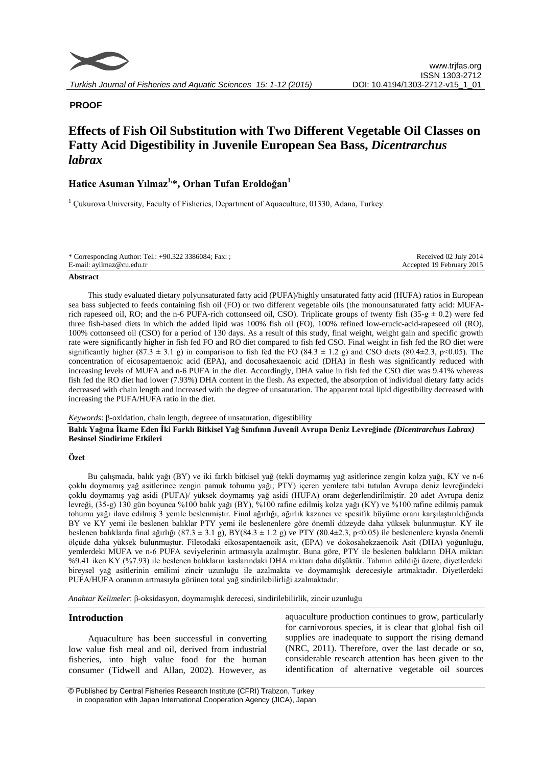

# **PROOF**

# **Effects of Fish Oil Substitution with Two Different Vegetable Oil Classes on Fatty Acid Digestibility in Juvenile European Sea Bass,** *Dicentrarchus labrax*

# **Hatice Asuman Yılmaz1,\*, Orhan Tufan Eroldoğan<sup>1</sup>**

 $1$  Cukurova University, Faculty of Fisheries, Department of Aquaculture, 01330, Adana, Turkey.

| E-mail: avilmaz@cu.edu.tr | * Corresponding Author: Tel.: +90.322 3386084; Fax: ; | Received 02 July 2014     |
|---------------------------|-------------------------------------------------------|---------------------------|
|                           |                                                       | Accepted 19 February 2015 |

#### **Abstract**

This study evaluated dietary polyunsaturated fatty acid (PUFA)/highly unsaturated fatty acid (HUFA) ratios in European sea bass subjected to feeds containing fish oil (FO) or two different vegetable oils (the monounsaturated fatty acid: MUFArich rapeseed oil, RO; and the n-6 PUFA-rich cottonseed oil, CSO). Triplicate groups of twenty fish (35-g  $\pm$  0.2) were fed three fish-based diets in which the added lipid was 100% fish oil (FO), 100% refined low-erucic-acid-rapeseed oil (RO), 100% cottonseed oil (CSO) for a period of 130 days. As a result of this study, final weight, weight gain and specific growth rate were significantly higher in fish fed FO and RO diet compared to fish fed CSO. Final weight in fish fed the RO diet were significantly higher  $(87.3 \pm 3.1 \text{ g})$  in comparison to fish fed the FO  $(84.3 \pm 1.2 \text{ g})$  and CSO diets  $(80.4 \pm 2.3, \text{ p} < 0.05)$ . The concentration of eicosapentaenoic acid (EPA), and docosahexaenoic acid (DHA) in flesh was significantly reduced with increasing levels of MUFA and n-6 PUFA in the diet. Accordingly, DHA value in fish fed the CSO diet was 9.41% whereas fish fed the RO diet had lower (7.93%) DHA content in the flesh. As expected, the absorption of individual dietary fatty acids decreased with chain length and increased with the degree of unsaturation. The apparent total lipid digestibility decreased with increasing the PUFA/HUFA ratio in the diet.

#### *Keywords*: β-oxidation, chain length, degreee of unsaturation, digestibility

**Balık Yağına İkame Eden İki Farklı Bitkisel Yağ Sınıfının Juvenil Avrupa Deniz Levreğinde** *(Dicentrarchus Labrax)*  **Besinsel Sindirime Etkileri**

# **Özet**

Bu çalışmada, balık yağı (BY) ve iki farklı bitkisel yağ (tekli doymamış yağ asitlerince zengin kolza yağı, KY ve n-6 çoklu doymamış yağ asitlerince zengin pamuk tohumu yağı; PTY) içeren yemlere tabi tutulan Avrupa deniz levreğindeki çoklu doymamış yağ asidi (PUFA)/ yüksek doymamış yağ asidi (HUFA) oranı değerlendirilmiştir. 20 adet Avrupa deniz levreği, (35-g) 130 gün boyunca %100 balık yağı (BY), %100 rafine edilmiş kolza yağı (KY) ve %100 rafine edilmiş pamuk tohumu yağı ilave edilmiş 3 yemle beslenmiştir. Final ağırlığı, ağırlık kazancı ve spesifik büyüme oranı karşılaştırıldığında BY ve KY yemi ile beslenen balıklar PTY yemi ile beslenenlere göre önemli düzeyde daha yüksek bulunmuştur. KY ile beslenen balıklarda final ağırlığı (87.3 ± 3.1 g), BY(84.3 ± 1.2 g) ve PTY (80.4±2.3, p<0.05) ile beslenenlere kıyasla önemli ölçüde daha yüksek bulunmuştur. Filetodaki eikosapentaenoik asit, (EPA) ve dokosahekzaenoik Asit (DHA) yoğunluğu, yemlerdeki MUFA ve n-6 PUFA seviyelerinin artmasıyla azalmıştır. Buna göre, PTY ile beslenen balıkların DHA miktarı %9.41 iken KY (%7.93) ile beslenen balıkların kaslarındaki DHA miktarı daha düşüktür. Tahmin edildiği üzere, diyetlerdeki bireysel yağ asitlerinin emilimi zincir uzunluğu ile azalmakta ve doymamışlık derecesiyle artmaktadır. Diyetlerdeki PUFA/HUFA oranının artmasıyla görünen total yağ sindirilebilirliği azalmaktadır.

*Anahtar Kelimeler*: β-oksidasyon, doymamışlık derecesi, sindirilebilirlik, zincir uzunluğu

# **Introduction**

Aquaculture has been successful in converting low value fish meal and oil, derived from industrial fisheries, into high value food for the human consumer (Tidwell and Allan, 2002). However, as aquaculture production continues to grow, particularly for carnivorous species, it is clear that global fish oil supplies are inadequate to support the rising demand (NRC, 2011). Therefore, over the last decade or so, considerable research attention has been given to the identification of alternative vegetable oil sources

<sup>©</sup> Published by Central Fisheries Research Institute (CFRI) Trabzon, Turkey in cooperation with Japan International Cooperation Agency (JICA), Japan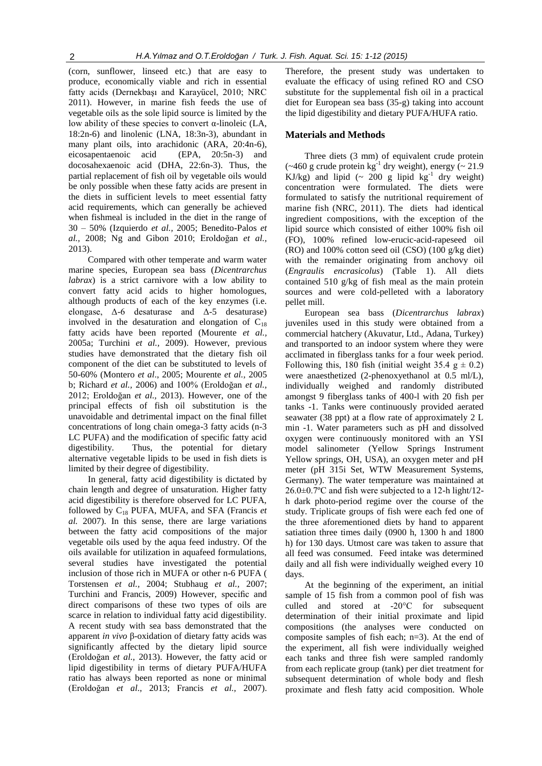(corn, sunflower, linseed etc.) that are easy to produce, economically viable and rich in essential fatty acids (Dernekbaşı and Karayücel, 2010; NRC 2011). However, in marine fish feeds the use of vegetable oils as the sole lipid source is limited by the low ability of these species to convert α-linoleic (LA, 18:2n-6) and linolenic (LNA, 18:3n-3), abundant in many plant oils, into arachidonic (ARA, 20:4n-6), eicosapentaenoic acid (EPA, 20:5n-3) and docosahexaenoic acid (DHA, 22:6n-3). Thus, the partial replacement of fish oil by vegetable oils would be only possible when these fatty acids are present in the diets in sufficient levels to meet essential fatty acid requirements, which can generally be achieved when fishmeal is included in the diet in the range of 30 – 50% (Izquierdo *et al.,* 2005; Benedito-Palos *et al.,* 2008; Ng and Gibon 2010; Eroldoğan *et al.,* 2013).

Compared with other temperate and warm water marine species, European sea bass (*Dicentrarchus labrax*) is a strict carnivore with a low ability to convert fatty acid acids to higher homologues, although products of each of the key enzymes (i.e. elongase, Δ-6 desaturase and Δ-5 desaturase) involved in the desaturation and elongation of  $C_{18}$ fatty acids have been reported (Mourente *et al.,* 2005a; Turchini *et al.,* 2009). However, previous studies have demonstrated that the dietary fish oil component of the diet can be substituted to levels of 50-60% (Montero *et al*., 2005; Mourente *et al.,* 2005 b; Richard *et al.,* 2006) and 100% (Eroldoğan *et al.,* 2012; Eroldoğan *et al.,* 2013). However, one of the principal effects of fish oil substitution is the unavoidable and detrimental impact on the final fillet concentrations of long chain omega-3 fatty acids (n-3 LC PUFA) and the modification of specific fatty acid digestibility. Thus, the potential for dietary alternative vegetable lipids to be used in fish diets is limited by their degree of digestibility.

In general, fatty acid digestibility is dictated by chain length and degree of unsaturation. Higher fatty acid digestibility is therefore observed for LC PUFA, followed by C<sup>18</sup> PUFA, MUFA, and SFA (Francis *et al.* 2007). In this sense, there are large variations between the fatty acid compositions of the major vegetable oils used by the aqua feed industry. Of the oils available for utilization in aquafeed formulations, several studies have investigated the potential inclusion of those rich in MUFA or other n-6 PUFA ( Torstensen *et al.,* 2004; Stubhaug *et al.,* 2007; Turchini and Francis, 2009) However, specific and direct comparisons of these two types of oils are scarce in relation to individual fatty acid digestibility. A recent study with sea bass demonstrated that the apparent *in vivo* β-oxidation of dietary fatty acids was significantly affected by the dietary lipid source (Eroldoğan *et al.,* 2013). However, the fatty acid or lipid digestibility in terms of dietary PUFA/HUFA ratio has always been reported as none or minimal (Eroldoğan *et al*., 2013; Francis *et al.,* 2007). Therefore, the present study was undertaken to evaluate the efficacy of using refined RO and CSO substitute for the supplemental fish oil in a practical diet for European sea bass (35-g) taking into account the lipid digestibility and dietary PUFA/HUFA ratio.

### **Materials and Methods**

Three diets (3 mm) of equivalent crude protein  $(*460 \text{ g crude protein kg}^{-1}$  dry weight), energy  $(* 21.9)$ KJ/kg) and lipid  $($  200 g lipid  $kg^{-1}$  dry weight) concentration were formulated. The diets were formulated to satisfy the nutritional requirement of marine fish (NRC, 2011). The diets had identical ingredient compositions, with the exception of the lipid source which consisted of either 100% fish oil (FO), 100% refined low-erucic-acid-rapeseed oil (RO) and 100% cotton seed oil (CSO) (100 g/kg diet) with the remainder originating from anchovy oil (*Engraulis encrasicolus*) (Table 1). All diets contained 510 g/kg of fish meal as the main protein sources and were cold-pelleted with a laboratory pellet mill.

European sea bass (*Dicentrarchus labrax*) juveniles used in this study were obtained from a commercial hatchery (Akuvatur, Ltd., Adana, Turkey) and transported to an indoor system where they were acclimated in fiberglass tanks for a four week period. Following this, 180 fish (initial weight 35.4  $g \pm 0.2$ ) were anaesthetized (2-phenoxyethanol at 0.5 ml/L), individually weighed and randomly distributed amongst 9 fiberglass tanks of 400-l with 20 fish per tanks -1. Tanks were continuously provided aerated seawater (38 ppt) at a flow rate of approximately 2 L min -1. Water parameters such as pH and dissolved oxygen were continuously monitored with an YSI model salinometer (Yellow Springs Instrument Yellow springs, OH, USA), an oxygen meter and pH meter (pH 315i Set, WTW Measurement Systems, Germany). The water temperature was maintained at 26.0±0.7ºC and fish were subjected to a 12-h light/12 h dark photo-period regime over the course of the study. Triplicate groups of fish were each fed one of the three aforementioned diets by hand to apparent satiation three times daily (0900 h, 1300 h and 1800 h) for 130 days. Utmost care was taken to assure that all feed was consumed. Feed intake was determined daily and all fish were individually weighed every 10 days.

At the beginning of the experiment, an initial sample of 15 fish from a common pool of fish was culled and stored at -20°C for subsequent determination of their initial proximate and lipid compositions (the analyses were conducted on composite samples of fish each; n=3). At the end of the experiment, all fish were individually weighed each tanks and three fish were sampled randomly from each replicate group (tank) per diet treatment for subsequent determination of whole body and flesh proximate and flesh fatty acid composition. Whole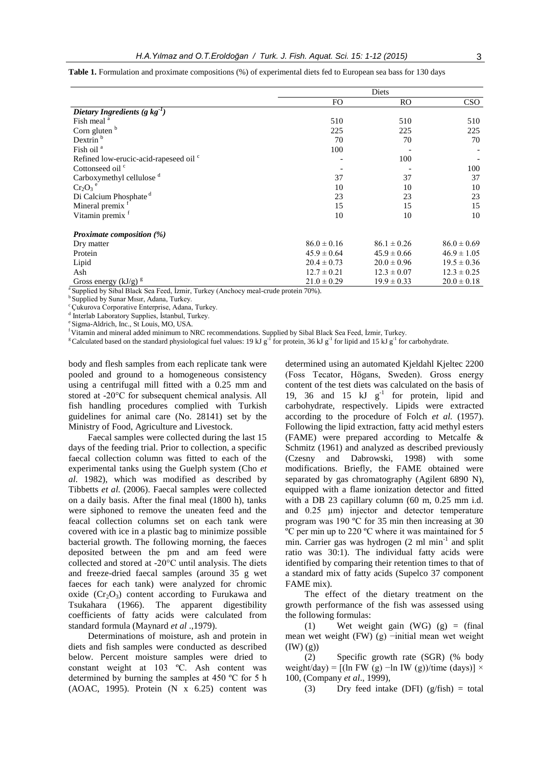|                                        | Diets           |                 |                 |
|----------------------------------------|-----------------|-----------------|-----------------|
|                                        | FO              | <b>RO</b>       | <b>CSO</b>      |
| Dietary Ingredients (g $kg^{-1}$ )     |                 |                 |                 |
| Fish meal <sup>a</sup>                 | 510             | 510             | 510             |
| Corn gluten $b$                        | 225             | 225             | 225             |
| Dextrin <sup>b</sup>                   | 70              | 70              | 70              |
| Fish oil <sup>a</sup>                  | 100             |                 |                 |
| Refined low-erucic-acid-rapeseed oil c |                 | 100             |                 |
| Cottonseed oil <sup>c</sup>            |                 |                 | 100             |
| Carboxymethyl cellulose <sup>d</sup>   | 37              | 37              | 37              |
| $Cr_2O_3$ <sup>e</sup>                 | 10              | 10              | 10              |
| Di Calcium Phosphate <sup>d</sup>      | 23              | 23              | 23              |
| Mineral premix f                       | 15              | 15              | 15              |
| Vitamin premix <sup>f</sup>            | 10              | 10              | 10              |
| Proximate composition $(\%)$           |                 |                 |                 |
| Dry matter                             | $86.0 \pm 0.16$ | $86.1 \pm 0.26$ | $86.0 \pm 0.69$ |
| Protein                                | $45.9 \pm 0.64$ | $45.9 \pm 0.66$ | $46.9 \pm 1.05$ |
| Lipid                                  | $20.4 \pm 0.73$ | $20.0 \pm 0.96$ | $19.5 \pm 0.36$ |
| Ash                                    | $12.7 \pm 0.21$ | $12.3 \pm 0.07$ | $12.3 \pm 0.25$ |
| Gross energy $(kJ/g)^{g}$              | $21.0 \pm 0.29$ | $19.9 \pm 0.33$ | $20.0 \pm 0.18$ |

**Table 1.** Formulation and proximate compositions (%) of experimental diets fed to European sea bass for 130 days

<sup>a</sup> Supplied by Sibal Black Sea Feed, İzmir, Turkey (Anchocy meal-crude protein 70%).

<sup>b</sup> Supplied by Sunar Mısır, Adana, Turkey.

<sup>c</sup> Çukurova Corporative Enterprise, Adana, Turkey.

d Interlab Laboratory Supplies, İstanbul, Turkey.

e Sigma-Aldrich, Inc., St Louis, MO, USA.

<sup>f</sup>Vitamin and mineral added minimum to NRC recommendations. Supplied by Sibal Black Sea Feed, İzmir, Turkey.

<sup>g</sup>Calculated based on the standard physiological fuel values: 19 kJ g<sup>-1</sup> for protein, 36 kJ g<sup>-1</sup> for lipid and 15 kJ g<sup>-1</sup> for carbohydrate.

body and flesh samples from each replicate tank were pooled and ground to a homogeneous consistency using a centrifugal mill fitted with a 0.25 mm and stored at -20°C for subsequent chemical analysis. All fish handling procedures complied with Turkish guidelines for animal care (No. 28141) set by the Ministry of Food, Agriculture and Livestock.

Faecal samples were collected during the last 15 days of the feeding trial. Prior to collection, a specific faecal collection column was fitted to each of the experimental tanks using the Guelph system (Cho *et al*. 1982), which was modified as described by Tibbetts *et al.* (2006). Faecal samples were collected on a daily basis. After the final meal (1800 h), tanks were siphoned to remove the uneaten feed and the feacal collection columns set on each tank were covered with ice in a plastic bag to minimize possible bacterial growth. The following morning, the faeces deposited between the pm and am feed were collected and stored at -20°C until analysis. The diets and freeze-dried faecal samples (around 35 g wet faeces for each tank) were analyzed for chromic oxide  $(Cr_2O_3)$  content according to Furukawa and Tsukahara (1966). The apparent digestibility coefficients of fatty acids were calculated from standard formula (Maynard *et al* .,1979).

Determinations of moisture, ash and protein in diets and fish samples were conducted as described below. Percent moisture samples were dried to constant weight at 103 ºC. Ash content was determined by burning the samples at 450 ºC for 5 h (AOAC, 1995). Protein (N x 6.25) content was

determined using an automated Kjeldahl Kjeltec 2200 (Foss Tecator, Högans, Sweden). Gross energy content of the test diets was calculated on the basis of 19, 36 and 15  $kJ$   $g^{-1}$  for protein, lipid and carbohydrate, respectively. Lipids were extracted according to the procedure of Folch *et al.* (1957). Following the lipid extraction, fatty acid methyl esters (FAME) were prepared according to Metcalfe & Schmitz (1961) and analyzed as described previously (Czesny and Dabrowski, 1998) with some modifications. Briefly, the FAME obtained were separated by gas chromatography (Agilent 6890 N), equipped with a flame ionization detector and fitted with a DB 23 capillary column (60 m, 0.25 mm i.d. and 0.25  $\mu$ m) injector and detector temperature program was 190 ºC for 35 min then increasing at 30 ºC per min up to 220 ºC where it was maintained for 5 min. Carrier gas was hydrogen (2 ml min<sup>-1</sup> and split ratio was 30:1). The individual fatty acids were identified by comparing their retention times to that of a standard mix of fatty acids (Supelco 37 component FAME mix).

The effect of the dietary treatment on the growth performance of the fish was assessed using the following formulas:

(1) Wet weight gain  $(WG)$  (g) = (final mean wet weight (FW) (g) −initial mean wet weight  $(IW) (g)$ 

(2) Specific growth rate (SGR) (% body weight/day) =  $[(\ln FW (g) -\ln IW (g)) / \text{time (days)}] \times$ 100, (Company *et al*., 1999),

(3) Dry feed intake (DFI)  $(g/fish) = total$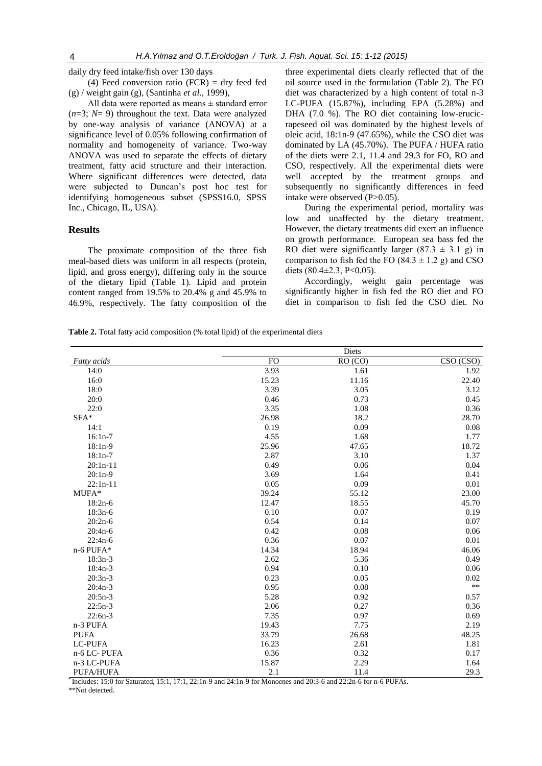daily dry feed intake/fish over 130 days

(4) Feed conversion ratio  $(FCR) = dry$  feed fed (g) / weight gain (g), (Santinha *et al*., 1999),

All data were reported as means ± standard error (*n*=3; *N*= 9) throughout the text. Data were analyzed by one-way analysis of variance (ANOVA) at a significance level of 0.05% following confirmation of normality and homogeneity of variance. Two-way ANOVA was used to separate the effects of dietary treatment, fatty acid structure and their interaction. Where significant differences were detected, data were subjected to Duncan's post hoc test for identifying homogeneous subset (SPSS16.0, SPSS Inc., Chicago, IL, USA).

### **Results**

The proximate composition of the three fish meal-based diets was uniform in all respects (protein, lipid, and gross energy), differing only in the source of the dietary lipid (Table 1). Lipid and protein content ranged from 19.5% to 20.4% g and 45.9% to 46.9%, respectively. The fatty composition of the

three experimental diets clearly reflected that of the oil source used in the formulation (Table 2). The FO diet was characterized by a high content of total n-3 LC-PUFA (15.87%), including EPA (5.28%) and DHA (7.0 %). The RO diet containing low-erucicrapeseed oil was dominated by the highest levels of oleic acid, 18:1n-9 (47.65%), while the CSO diet was dominated by LA (45.70%). The PUFA / HUFA ratio of the diets were 2.1, 11.4 and 29.3 for FO, RO and CSO, respectively. All the experimental diets were well accepted by the treatment groups and subsequently no significantly differences in feed intake were observed (P>0.05).

During the experimental period, mortality was low and unaffected by the dietary treatment. However, the dietary treatments did exert an influence on growth performance. European sea bass fed the RO diet were significantly larger  $(87.3 \pm 3.1 \text{ g})$  in comparison to fish fed the FO (84.3  $\pm$  1.2 g) and CSO diets  $(80.4 \pm 2.3, P < 0.05)$ .

Accordingly, weight gain percentage was significantly higher in fish fed the RO diet and FO diet in comparison to fish fed the CSO diet. No

**Table 2.** Total fatty acid composition (% total lipid) of the experimental diets

|                |                 | Diets              |            |
|----------------|-----------------|--------------------|------------|
| Fatty acids    | $\overline{FO}$ | RO <sub>(CO)</sub> | CSO (CSO)  |
| 14:0           | 3.93            | 1.61               | 1.92       |
| 16:0           | 15.23           | 11.16              | 22.40      |
| 18:0           | 3.39            | 3.05               | 3.12       |
| 20:0           | 0.46            | 0.73               | 0.45       |
| 22:0           | 3.35            | 1.08               | 0.36       |
| $\text{SFA}^*$ | 26.98           | 18.2               | 28.70      |
| 14:1           | 0.19            | 0.09               | 0.08       |
| $16:1n-7$      | 4.55            | 1.68               | 1.77       |
| $18:1n-9$      | 25.96           | 47.65              | 18.72      |
| $18:1n-7$      | 2.87            | 3.10               | 1.37       |
| $20:1n-11$     | 0.49            | 0.06               | 0.04       |
| $20:1n-9$      | 3.69            | 1.64               | 0.41       |
| $22:1n-11$     | 0.05            | 0.09               | 0.01       |
| MUFA*          | 39.24           | 55.12              | 23.00      |
| $18:2n-6$      | 12.47           | 18.55              | 45.70      |
| $18:3n-6$      | 0.10            | 0.07               | 0.19       |
| $20:2n-6$      | 0.54            | 0.14               | 0.07       |
| $20:4n-6$      | 0.42            | 0.08               | 0.06       |
| $22:4n-6$      | 0.36            | 0.07               | 0.01       |
| n-6 PUFA*      | 14.34           | 18.94              | 46.06      |
| $18:3n-3$      | 2.62            | 5.36               | 0.49       |
| $18:4n-3$      | 0.94            | 0.10               | 0.06       |
| $20:3n-3$      | 0.23            | 0.05               | 0.02       |
| $20:4n-3$      | 0.95            | 0.08               | $\ast\ast$ |
| $20:5n-3$      | 5.28            | 0.92               | 0.57       |
| $22:5n-3$      | 2.06            | 0.27               | 0.36       |
| $22:6n-3$      | 7.35            | 0.97               | 0.69       |
| n-3 PUFA       | 19.43           | 7.75               | 2.19       |
| <b>PUFA</b>    | 33.79           | 26.68              | 48.25      |
| <b>LC-PUFA</b> | 16.23           | 2.61               | 1.81       |
| n-6 LC-PUFA    | 0.36            | 0.32               | 0.17       |
| n-3 LC-PUFA    | 15.87           | 2.29               | 1.64       |
| PUFA/HUFA      | 2.1             | 11.4               | 29.3       |

\* Includes: 15:0 for Saturated, 15:1, 17:1, 22:1n-9 and 24:1n-9 for Monoenes and 20:3-6 and 22:2n-6 for n-6 PUFAs.

\*\*Not detected.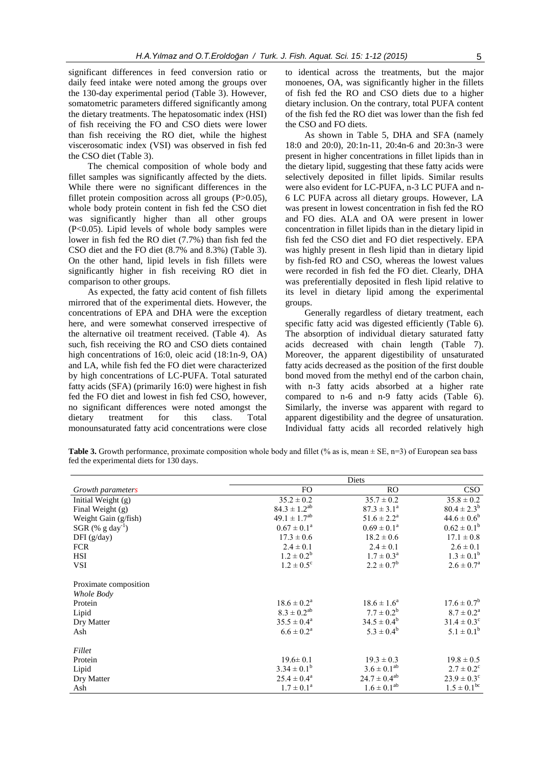significant differences in feed conversion ratio or daily feed intake were noted among the groups over the 130-day experimental period (Table 3). However, somatometric parameters differed significantly among the dietary treatments. The hepatosomatic index (HSI) of fish receiving the FO and CSO diets were lower than fish receiving the RO diet, while the highest viscerosomatic index (VSI) was observed in fish fed the CSO diet (Table 3).

The chemical composition of whole body and fillet samples was significantly affected by the diets. While there were no significant differences in the fillet protein composition across all groups (P>0.05), whole body protein content in fish fed the CSO diet was significantly higher than all other groups (P<0.05). Lipid levels of whole body samples were lower in fish fed the RO diet (7.7%) than fish fed the CSO diet and the FO diet (8.7% and 8.3%) (Table 3). On the other hand, lipid levels in fish fillets were significantly higher in fish receiving RO diet in comparison to other groups.

As expected, the fatty acid content of fish fillets mirrored that of the experimental diets. However, the concentrations of EPA and DHA were the exception here, and were somewhat conserved irrespective of the alternative oil treatment received. (Table 4). As such, fish receiving the RO and CSO diets contained high concentrations of 16:0, oleic acid (18:1n-9, OA) and LA, while fish fed the FO diet were characterized by high concentrations of LC-PUFA. Total saturated fatty acids (SFA) (primarily 16:0) were highest in fish fed the FO diet and lowest in fish fed CSO, however, no significant differences were noted amongst the dietary treatment for this class. Total monounsaturated fatty acid concentrations were close to identical across the treatments, but the major monoenes, OA, was significantly higher in the fillets of fish fed the RO and CSO diets due to a higher dietary inclusion. On the contrary, total PUFA content of the fish fed the RO diet was lower than the fish fed the CSO and FO diets.

As shown in Table 5, DHA and SFA (namely 18:0 and 20:0), 20:1n-11, 20:4n-6 and 20:3n-3 were present in higher concentrations in fillet lipids than in the dietary lipid, suggesting that these fatty acids were selectively deposited in fillet lipids. Similar results were also evident for LC-PUFA, n-3 LC PUFA and n-6 LC PUFA across all dietary groups. However, LA was present in lowest concentration in fish fed the RO and FO dies. ALA and OA were present in lower concentration in fillet lipids than in the dietary lipid in fish fed the CSO diet and FO diet respectively. EPA was highly present in flesh lipid than in dietary lipid by fish-fed RO and CSO, whereas the lowest values were recorded in fish fed the FO diet. Clearly, DHA was preferentially deposited in flesh lipid relative to its level in dietary lipid among the experimental groups.

Generally regardless of dietary treatment, each specific fatty acid was digested efficiently (Table 6). The absorption of individual dietary saturated fatty acids decreased with chain length (Table 7). Moreover, the apparent digestibility of unsaturated fatty acids decreased as the position of the first double bond moved from the methyl end of the carbon chain, with n-3 fatty acids absorbed at a higher rate compared to n-6 and n-9 fatty acids (Table 6). Similarly, the inverse was apparent with regard to apparent digestibility and the degree of unsaturation. Individual fatty acids all recorded relatively high

**Table 3.** Growth performance, proximate composition whole body and fillet (% as is, mean  $\pm$  SE, n=3) of European sea bass fed the experimental diets for 130 days.

|                                 | Diets                     |                        |                            |
|---------------------------------|---------------------------|------------------------|----------------------------|
| Growth parameters               | FO.                       | RO.                    | <b>CSO</b>                 |
| Initial Weight (g)              | $35.2 \pm 0.2$            | $35.7 \pm 0.2$         | $35.8 \pm 0.2$             |
| Final Weight (g)                | $84.3 \pm 1.2^{ab}$       | $87.3 \pm 3.1^a$       | $80.4 \pm 2.3^b$           |
| Weight Gain (g/fish)            | $49.1 \pm 1.7^{ab}$       | $51.6 \pm 2.2^a$       | $44.6 \pm 0.6^b$           |
| SGR $(\%$ g day <sup>-1</sup> ) | $0.67 \pm 0.1^{\circ}$    | $0.69 \pm 0.1^{\circ}$ | $0.62 \pm 0.1^b$           |
| DFI $(g/day)$                   | $17.3 \pm 0.6$            | $18.2 \pm 0.6$         | $17.1 \pm 0.8$             |
| <b>FCR</b>                      | $2.4 \pm 0.1$             | $2.4 \pm 0.1$          | $2.6 \pm 0.1$              |
| <b>HSI</b>                      | $1.2 \pm 0.2^b$           | $1.7 \pm 0.3^{\rm a}$  | $1.3 \pm 0.1^b$            |
| VSI                             | $1.2 \pm 0.5^{\circ}$     | $2.2 \pm 0.7^b$        | $2.6 \pm 0.7^{\rm a}$      |
| Proximate composition           |                           |                        |                            |
| Whole Body                      |                           |                        |                            |
| Protein                         | $18.6 \pm 0.2^{\text{a}}$ | $18.6 \pm 1.6^a$       | $17.6 \pm 0.7^b$           |
| Lipid                           | $8.3 \pm 0.2^{ab}$        | $7.7 \pm 0.2^b$        | $8.7 \pm 0.2^{\text{a}}$   |
| Dry Matter                      | $35.5 \pm 0.4^{\circ}$    | $34.5 \pm 0.4^b$       | $31.4 \pm 0.3^{\circ}$     |
| Ash                             | $6.6 \pm 0.2^{\text{a}}$  | $5.3 \pm 0.4^b$        | $5.1 \pm 0.1^b$            |
| Fillet                          |                           |                        |                            |
| Protein                         | $19.6 \pm 0.1$            | $19.3 \pm 0.3$         | $19.8 \pm 0.5$             |
| Lipid                           | $3.34 \pm 0.1^b$          | $3.6 \pm 0.1^{ab}$     | $2.7 \pm 0.2$ <sup>c</sup> |
| Dry Matter                      | $25.4 \pm 0.4^a$          | $24.7 \pm 0.4^{ab}$    | $23.9 \pm 0.3^{\circ}$     |
| Ash                             | $1.7 \pm 0.1^{\circ}$     | $1.6 \pm 0.1^{ab}$     | $1.5 \pm 0.1^{\rm bc}$     |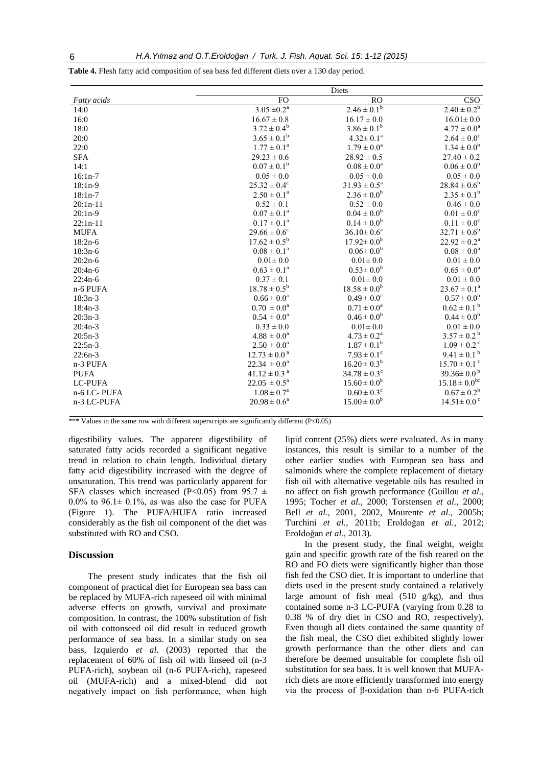|                    | Diets                        |                           |                              |
|--------------------|------------------------------|---------------------------|------------------------------|
| <b>Fatty</b> acids | FO                           | <b>RO</b>                 | CSO                          |
| 14:0               | $3.05 \pm 0.2^a$             | $2.46 \pm 0.1^{b}$        | $2.40 \pm 0.2^b$             |
| 16:0               | $16.67 \pm 0.8$              | $16.17 \pm 0.0$           | $16.01 \pm 0.0$              |
| 18:0               | $3.72 \pm 0.4^b$             | $3.86 \pm 0.1^b$          | $4.77 \pm 0.0^a$             |
| 20:0               | $3.65 \pm 0.1^b$             | $4.32 \pm 0.1^a$          | $2.64 \pm 0.0^c$             |
| 22:0               | $1.77 \pm 0.1^a$             | $1.79 \pm 0.0^a$          | $1.34 \pm 0.0^b$             |
| <b>SFA</b>         | $29.23 \pm 0.6$              | $28.92 \pm 0.5$           | $27.40 \pm 0.2$              |
| 14:1               | $0.07 \pm 0.1^{\rm b}$       | $0.08 \pm 0.0^a$          | $0.06 \pm 0.0^b$             |
| $16:1n-7$          | $0.05 \pm 0.0$               | $0.05 \pm 0.0$            | $0.05 \pm 0.0$               |
| $18:1n-9$          | $25.32 \pm 0.4^{\circ}$      | $31.93 \pm 0.5^a$         | $28.84 \pm 0.6^b$            |
| $18:1n-7$          | $2.50 \pm 0.1^a$             | $2.36 \pm 0.0^b$          | $2.35 \pm 0.1^b$             |
| $20:1n-11$         | $0.52 \pm 0.1$               | $0.52 \pm 0.0$            | $0.46 \pm 0.0$               |
| $20:1n-9$          | $0.07 \pm 0.1^{\text{a}}$    | $0.04 \pm 0.0^b$          | $0.01 \pm 0.0^{\circ}$       |
| $22:1n-11$         | $0.17 \pm 0.1^a$             | $0.14 \pm 0.0^b$          | $0.11 \pm 0.0^{\circ}$       |
| <b>MUFA</b>        | $29.66 \pm 0.6^{\circ}$      | $36.10 \pm 0.6^a$         | $32.71 \pm 0.6^b$            |
| $18:2n-6$          | $17.62 \pm 0.5^b$            | $17.92 \pm 0.0^b$         | $22.92 \pm 0.2^a$            |
| $18:3n-6$          | $0.08 \pm 0.1^a$             | $0.06 \pm 0.0^b$          | $0.08 \pm 0.0^a$             |
| $20:2n-6$          | $0.01 \pm 0.0$               | $0.01 \pm 0.0$            | $0.01 \pm 0.0$               |
| $20:4n-6$          | $0.63 \pm 0.1^a$             | $0.53 \pm 0.0^b$          | $0.65 \pm 0.0^a$             |
| $22:4n-6$          | $0.37 \pm 0.1$               | $0.01 \pm 0.0$            | $0.01 \pm 0.0$               |
| n-6 PUFA           | $18.78 \pm 0.5^b$            | $18.58 \pm 0.0^b$         | $23.67 \pm 0.1^a$            |
| $18:3n-3$          | $0.66 \pm 0.0^a$             | $0.49 \pm 0.0^{\circ}$    | $0.57 \pm 0.0^b$             |
| $18:4n-3$          | $0.70 \pm 0.0^{\text{a}}$    | $0.71 \pm 0.0^a$          | $0.62 \pm 0.1^{\text{ b}}$   |
| $20:3n-3$          | $0.54 \pm 0.0^a$             | $0.46 \pm 0.0^b$          | $0.44 \pm 0.0^b$             |
| $20:4n-3$          | $0.33 \pm 0.0$               | $0.01 \pm 0.0$            | $0.01 \pm 0.0$               |
| $20:5n-3$          | $4.88 \pm 0.0^a$             | $4.73 \pm 0.2^{\text{a}}$ | $3.57 \pm 0.2^{\mathrm{b}}$  |
| $22:5n-3$          | $2.50 \pm 0.0^{\circ}$       | $1.87 \pm 0.1^{\circ}$    | $1.09 \pm 0.2$ <sup>c</sup>  |
| $22:6n-3$          | $12.73 \pm 0.0^{\text{a}}$   | $7.93 \pm 0.1^{\circ}$    | $9.41 \pm 0.1^{\text{ b}}$   |
| n-3 PUFA           | $22.34 \pm 0.0^a$            | $16.20 \pm 0.3^b$         | $15.70 \pm 0.1$ <sup>c</sup> |
| <b>PUFA</b>        | $41.12 \pm 0.3$ <sup>a</sup> | $34.78 \pm 0.3^{\circ}$   | 39.36 $\pm$ 0.0 <sup>b</sup> |
| <b>LC-PUFA</b>     | $22.05 \pm 0.5^a$            | $15.60 \pm 0.0^b$         | $15.18 \pm 0.0^{bc}$         |
| n-6 LC-PUFA        | $1.08 \pm 0.7^{\rm a}$       | $0.60 \pm 0.3^c$          | $0.67 \pm 0.2^b$             |
| n-3 LC-PUFA        | $20.98 \pm 0.6^a$            | $15.00 \pm 0.0^b$         | $14.51 \pm 0.0$ <sup>c</sup> |

**Table 4.** Flesh fatty acid composition of sea bass fed different diets over a 130 day period.

\*\*\* Values in the same row with different superscripts are significantly different (P<0.05)

digestibility values. The apparent digestibility of saturated fatty acids recorded a significant negative trend in relation to chain length. Individual dietary fatty acid digestibility increased with the degree of unsaturation. This trend was particularly apparent for SFA classes which increased (P<0.05) from 95.7  $\pm$ 0.0% to 96.1 $\pm$  0.1%, as was also the case for PUFA (Figure 1). The PUFA/HUFA ratio increased considerably as the fish oil component of the diet was substituted with RO and CSO.

## **Discussion**

The present study indicates that the fish oil component of practical diet for European sea bass can be replaced by MUFA-rich rapeseed oil with minimal adverse effects on growth, survival and proximate composition. In contrast, the 100% substitution of fish oil with cottonseed oil did result in reduced growth performance of sea bass. In a similar study on sea bass, Izquierdo *et al.* (2003) reported that the replacement of 60% of fish oil with linseed oil (n-3 PUFA-rich), soybean oil (n-6 PUFA-rich), rapeseed oil (MUFA-rich) and a mixed-blend did not negatively impact on fish performance, when high lipid content (25%) diets were evaluated. As in many instances, this result is similar to a number of the other earlier studies with European sea bass and salmonids where the complete replacement of dietary fish oil with alternative vegetable oils has resulted in no affect on fish growth performance (Guillou *et al.,* 1995; Tocher *et al.,* 2000; Torstensen *et al.,* 2000; Bell *et al.,* 2001, 2002, Mourente *et al.,* 2005b; Turchini *et al.,* 2011b; Eroldoğan *et al.,* 2012; Eroldoğan *et al.,* 2013).

In the present study, the final weight, weight gain and specific growth rate of the fish reared on the RO and FO diets were significantly higher than those fish fed the CSO diet. It is important to underline that diets used in the present study contained a relatively large amount of fish meal (510 g/kg), and thus contained some n-3 LC-PUFA (varying from 0.28 to 0.38 % of dry diet in CSO and RO, respectively). Even though all diets contained the same quantity of the fish meal, the CSO diet exhibited slightly lower growth performance than the other diets and can therefore be deemed unsuitable for complete fish oil substitution for sea bass. It is well known that MUFArich diets are more efficiently transformed into energy via the process of β-oxidation than n-6 PUFA-rich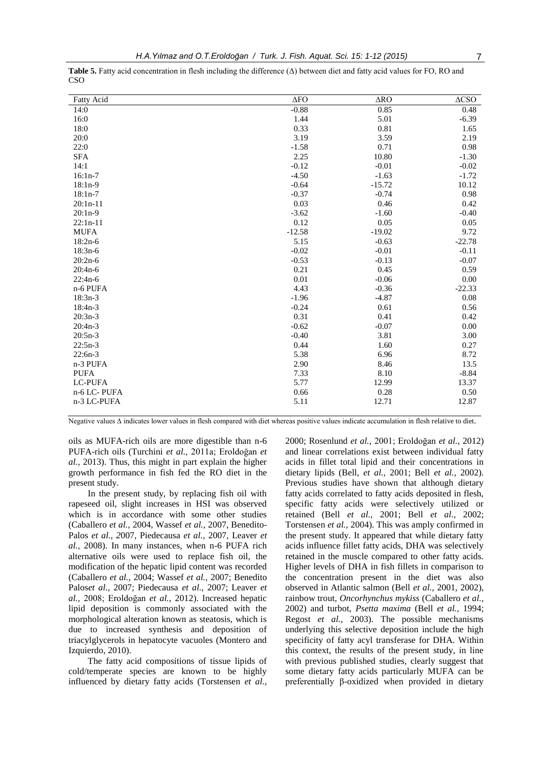| <b>Fatty Acid</b> | $\Delta$ FO | $\triangle$ RO | $\triangle$ CSO |
|-------------------|-------------|----------------|-----------------|
| 14:0              | $-0.88$     | 0.85           | 0.48            |
| 16:0              | 1.44        | 5.01           | $-6.39$         |
| 18:0              | 0.33        | 0.81           | 1.65            |
| 20:0              | 3.19        | 3.59           | 2.19            |
| 22:0              | $-1.58$     | 0.71           | 0.98            |
| <b>SFA</b>        | 2.25        | 10.80          | $-1.30$         |
| 14:1              | $-0.12$     | $-0.01$        | $-0.02$         |
| $16:1n-7$         | $-4.50$     | $-1.63$        | $-1.72$         |
| $18:1n-9$         | $-0.64$     | $-15.72$       | 10.12           |
| $18:1n-7$         | $-0.37$     | $-0.74$        | 0.98            |
| $20:1n-11$        | 0.03        | 0.46           | 0.42            |
| $20:1n-9$         | $-3.62$     | $-1.60$        | $-0.40$         |
| $22:1n-11$        | 0.12        | 0.05           | 0.05            |
| <b>MUFA</b>       | $-12.58$    | $-19.02$       | 9.72            |
| $18:2n-6$         | 5.15        | $-0.63$        | $-22.78$        |
| $18:3n-6$         | $-0.02$     | $-0.01$        | $-0.11$         |
| $20:2n-6$         | $-0.53$     | $-0.13$        | $-0.07$         |
| $20:4n-6$         | 0.21        | 0.45           | 0.59            |
| $22:4n-6$         | 0.01        | $-0.06$        | 0.00            |
| n-6 PUFA          | 4.43        | $-0.36$        | $-22.33$        |
| $18:3n-3$         | $-1.96$     | $-4.87$        | 0.08            |
| $18:4n-3$         | $-0.24$     | 0.61           | 0.56            |
| $20:3n-3$         | 0.31        | 0.41           | 0.42            |
| $20:4n-3$         | $-0.62$     | $-0.07$        | 0.00            |
| $20:5n-3$         | $-0.40$     | 3.81           | 3.00            |
| $22:5n-3$         | 0.44        | 1.60           | 0.27            |
| $22:6n-3$         | 5.38        | 6.96           | 8.72            |
| n-3 PUFA          | 2.90        | 8.46           | 13.5            |
| <b>PUFA</b>       | 7.33        | 8.10           | $-8.84$         |
| <b>LC-PUFA</b>    | 5.77        | 12.99          | 13.37           |
| n-6 LC-PUFA       | 0.66        | 0.28           | 0.50            |
| n-3 LC-PUFA       | 5.11        | 12.71          | 12.87           |

**Table 5.** Fatty acid concentration in flesh including the difference (Δ) between diet and fatty acid values for FO, RO and CSO

Negative values Δ indicates lower values in flesh compared with diet whereas positive values indicate accumulation in flesh relative to diet.

oils as MUFA-rich oils are more digestible than n-6 PUFA-rich oils (Turchini *et al.,* 2011a; Eroldoğan *et al.,* 2013). Thus, this might in part explain the higher growth performance in fish fed the RO diet in the present study.

In the present study, by replacing fish oil with rapeseed oil, slight increases in HSI was observed which is in accordance with some other studies (Caballero *et al.,* 2004, Wassef *et al.,* 2007, Benedito-Palos *et al., 2*007, Piedecausa *et al.,* 2007, Leaver *et al.,* 2008). In many instances, when n-6 PUFA rich alternative oils were used to replace fish oil, the modification of the hepatic lipid content was recorded (Caballero *et al.,* 2004; Wassef *et al.,* 2007; Benedito Palos*et al.,* 2007; Piedecausa *et al.,* 2007; Leaver *et al.,* 2008; Eroldoğan *et al.*, 2012). Increased hepatic lipid deposition is commonly associated with the morphological alteration known as steatosis, which is due to increased synthesis and deposition of triacylglycerols in hepatocyte vacuoles (Montero and Izquierdo, 2010).

The fatty acid compositions of tissue lipids of cold/temperate species are known to be highly influenced by dietary fatty acids (Torstensen *et al.,*

2000; Rosenlund *et al.,* 2001; Eroldoğan *et al.,* 2012) and linear correlations exist between individual fatty acids in fillet total lipid and their concentrations in dietary lipids (Bell, *et al.,* 2001; Bell *et al.,* 2002). Previous studies have shown that although dietary fatty acids correlated to fatty acids deposited in flesh, specific fatty acids were selectively utilized or retained (Bell *et al.,* 2001; Bell *et al.,* 2002; Torstensen *et al.,* 2004). This was amply confirmed in the present study. It appeared that while dietary fatty acids influence fillet fatty acids, DHA was selectively retained in the muscle compared to other fatty acids. Higher levels of DHA in fish fillets in comparison to the concentration present in the diet was also observed in Atlantic salmon (Bell *et al.,* 2001, 2002), rainbow trout, *Oncorhynchus mykiss* (Caballero *et al.,* 2002) and turbot, *Psetta maxima* (Bell *et al.,* 1994; Regost *et al.,* 2003). The possible mechanisms underlying this selective deposition include the high specificity of fatty acyl transferase for DHA. Within this context, the results of the present study, in line with previous published studies, clearly suggest that some dietary fatty acids particularly MUFA can be preferentially β-oxidized when provided in dietary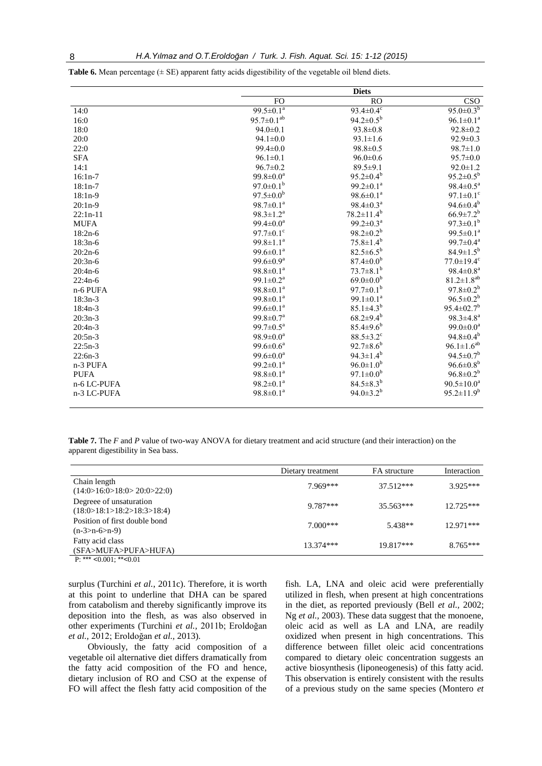|             |                             | <b>Diets</b>                |                              |
|-------------|-----------------------------|-----------------------------|------------------------------|
|             | F <sub>O</sub>              | <sub>RO</sub>               | CSO                          |
| 14:0        | 99.5 $\pm$ 0.1 <sup>a</sup> | $93.4 \pm 0.4$ <sup>c</sup> | $95.0 \pm 0.3^{b}$           |
| 16:0        | $95.7 \pm 0.1^{ab}$         | $94.2 \pm 0.5^{\rm b}$      | $96.1 \pm 0.1^a$             |
| 18:0        | $94.0 \pm 0.1$              | $93.8 \pm 0.8$              | $92.8 \pm 0.2$               |
| 20:0        | $94.1 \pm 0.0$              | $93.1 \pm 1.6$              | $92.9 \pm 0.3$               |
| 22:0        | $99.4 \pm 0.0$              | $98.8 \pm 0.5$              | $98.7 \pm 1.0$               |
| <b>SFA</b>  | $96.1 \pm 0.1$              | $96.0 \pm 0.6$              | $95.7 \pm 0.0$               |
| 14:1        | $96.7 \pm 0.2$              | $89.5 \pm 9.1$              | $92.0 \pm 1.2$               |
| $16:1n-7$   | $99.8 \pm 0.0^a$            | $95.2 \pm 0.4^b$            | $95.2 \pm 0.5^{\rm b}$       |
| $18:1n-7$   | $97.0 \pm 0.1^b$            | $99.2 \pm 0.1^a$            | $98.4 \pm 0.5^{\text{a}}$    |
| $18:1n-9$   | $97.5 \pm 0.0^b$            | $98.6 \pm 0.1^{\text{a}}$   | $97.1 \pm 0.1$ <sup>c</sup>  |
| $20:1n-9$   | $98.7 \pm 0.1^{\text{a}}$   | $98.4 \pm 0.3^a$            | $94.6 \pm 0.4^b$             |
| $22:1n-11$  | $98.3 \pm 1.2^a$            | $78.2 \pm 11.4^b$           | $66.9{\pm}7.2^{b}$           |
| <b>MUFA</b> | $99.4 \pm 0.0^a$            | $99.2 \pm 0.3^{\text{a}}$   | $97.3 \pm 0.1^b$             |
| $18:2n-6$   | $97.7 \pm 0.1$ <sup>c</sup> | $98.2 \pm 0.2^b$            | $99.5 \pm 0.1^a$             |
| $18:3n-6$   | 99.8 $\pm$ 1.1 <sup>a</sup> | $75.8 \pm 1.4^b$            | $99.7 \pm 0.4^a$             |
| $20:2n-6$   | $99.6 \pm 0.1^{\text{a}}$   | $82.5 \pm 6.5^b$            | $84.9 \pm 1.5^{b}$           |
| $20:3n-6$   | 99.6 $\pm 0.9^{\text{a}}$   | $87.4 \pm 0.0^b$            | $77.0 \pm 19.4$ <sup>c</sup> |
| $20:4n-6$   | $98.8 \pm 0.1^a$            | $73.7 \pm 8.1^b$            | $98.4 \pm 0.8^a$             |
| $22:4n-6$   | 99.1 $\pm$ 0.2 <sup>a</sup> | $69.0 \pm 0.0^b$            | $81.2 \pm 1.8^{ab}$          |
| n-6 PUFA    | $98.8 \pm 0.1^a$            | $97.7 \pm 0.1^{\mathrm{b}}$ | $97.8 \pm 0.2^b$             |
| $18:3n-3$   | $99.8 \pm 0.1^{\text{a}}$   | 99.1 $\pm$ 0.1 <sup>a</sup> | $96.5 \pm 0.2^b$             |
| $18:4n-3$   | $99.6 \pm 0.1^a$            | $85.1 \pm 4.3^{b}$          | $95.4 \pm 02.7$ <sup>b</sup> |
| $20:3n-3$   | $99.8 \pm 0.7^{\text{a}}$   | $68.2 \pm 9.4^{\circ}$      | $98.3 \pm 4.8^a$             |
| $20:4n-3$   | 99.7 $\pm 0.5^{\text{a}}$   | $85.4 \pm 9.6^b$            | $99.0 \pm 0.0^a$             |
| $20:5n-3$   | $98.9 \pm 0.0^a$            | $88.5 \pm 3.2$ <sup>c</sup> | $94.8 \pm 0.4^b$             |
| $22:5n-3$   | $99.6 \pm 0.6^a$            | $92.7 \pm 8.6^b$            | $96.1 \pm 1.6^{ab}$          |
| $22:6n-3$   | $99.6 \pm 0.0^a$            | $94.3 \pm 1.4^b$            | $94.5 \pm 0.7$ <sup>b</sup>  |
| n-3 PUFA    | $99.2 \pm 0.1^a$            | $96.0 \pm 1.0^b$            | $96.6 \pm 0.8^b$             |
| <b>PUFA</b> | $98.8 \pm 0.1^a$            | $97.1 \pm 0.0^b$            | $96.8 \pm 0.2^b$             |
| n-6 LC-PUFA | $98.2 \pm 0.1^a$            | $84.5 \pm 8.3^{b}$          | $90.5 \pm 10.0^a$            |
| n-3 LC-PUFA | $98.8 \pm 0.1^a$            | $94.0 \pm 3.2^b$            | $95.2 \pm 11.9^b$            |

**Table 6.** Mean percentage ( $\pm$  SE) apparent fatty acids digestibility of the vegetable oil blend diets.

**Table 7.** The *F* and *P* value of two-way ANOVA for dietary treatment and acid structure (and their interaction) on the apparent digestibility in Sea bass.

|                                                       | Dietary treatment | FA structure | Interaction |
|-------------------------------------------------------|-------------------|--------------|-------------|
| Chain length<br>(14:0>16:0>18:0>20:0>22:0)            | 7.969***          | $37.512***$  | $3.925***$  |
| Degreee of unsaturation<br>(18:0>18:1>18:2>18:3>18:4) | $9.787***$        | $35.563***$  | $12.725***$ |
| Position of first double bond<br>$(n-3>n-6>n-9)$      | $7.000***$        | $5.438**$    | $12.971***$ |
| Fatty acid class<br>(SFA>MUFA>PUFA>HUFA)              | 13.374***         | 19.817***    | $8.765***$  |
| $D.***$ $0.001.**$ $0.01$                             |                   |              |             |

P: \*\*\*  $<0.001$ ; \*\* $<0.01$ 

surplus (Turchini *et al.*, 2011c). Therefore, it is worth at this point to underline that DHA can be spared from catabolism and thereby significantly improve its deposition into the flesh, as was also observed in other experiments (Turchini *et al.,* 2011b; Eroldoğan *et al.,* 2012; Eroldoğan *et al.,* 2013).

Obviously, the fatty acid composition of a vegetable oil alternative diet differs dramatically from the fatty acid composition of the FO and hence, dietary inclusion of RO and CSO at the expense of FO will affect the flesh fatty acid composition of the

fish. LA, LNA and oleic acid were preferentially utilized in flesh, when present at high concentrations in the diet, as reported previously (Bell *et al.,* 2002; Ng *et al.,* 2003). These data suggest that the monoene, oleic acid as well as LA and LNA, are readily oxidized when present in high concentrations. This difference between fillet oleic acid concentrations compared to dietary oleic concentration suggests an active biosynthesis (liponeogenesis) of this fatty acid. This observation is entirely consistent with the results of a previous study on the same species (Montero *et*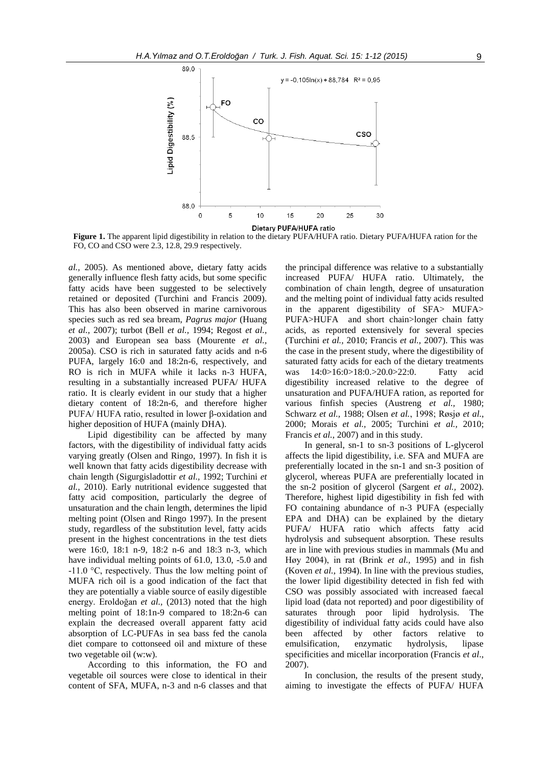

**Figure 1.** The apparent lipid digestibility in relation to the dietary PUFA/HUFA ratio. Dietary PUFA/HUFA ration for the FO, CO and CSO were 2.3, 12.8, 29.9 respectively.

*al.,* 2005). As mentioned above, dietary fatty acids generally influence flesh fatty acids, but some specific fatty acids have been suggested to be selectively retained or deposited (Turchini and Francis 2009). This has also been observed in marine carnivorous species such as red sea bream, *Pagrus major* (Huang *et al.,* 2007); turbot (Bell *et al.,* 1994; Regost *et al.,* 2003) and European sea bass (Mourente *et al.,* 2005a). CSO is rich in saturated fatty acids and n-6 PUFA, largely 16:0 and 18:2n-6, respectively, and RO is rich in MUFA while it lacks n-3 HUFA, resulting in a substantially increased PUFA/ HUFA ratio. It is clearly evident in our study that a higher dietary content of 18:2n-6, and therefore higher PUFA/ HUFA ratio, resulted in lower β-oxidation and higher deposition of HUFA (mainly DHA).

Lipid digestibility can be affected by many factors, with the digestibility of individual fatty acids varying greatly (Olsen and Ringo, 1997). In fish it is well known that fatty acids digestibility decrease with chain length (Sigurgisladottir *et al.,* 1992; Turchini *et al.,* 2010). Early nutritional evidence suggested that fatty acid composition, particularly the degree of unsaturation and the chain length, determines the lipid melting point (Olsen and Ringo 1997). In the present study, regardless of the substitution level, fatty acids present in the highest concentrations in the test diets were 16:0, 18:1 n-9, 18:2 n-6 and 18:3 n-3, which have individual melting points of 61.0, 13.0, -5.0 and -11.0 °C, respectively. Thus the low melting point of MUFA rich oil is a good indication of the fact that they are potentially a viable source of easily digestible energy. Eroldoğan *et al.,* (2013) noted that the high melting point of 18:1n-9 compared to 18:2n-6 can explain the decreased overall apparent fatty acid absorption of LC-PUFAs in sea bass fed the canola diet compare to cottonseed oil and mixture of these two vegetable oil (w:w).

According to this information, the FO and vegetable oil sources were close to identical in their content of SFA, MUFA, n-3 and n-6 classes and that

the principal difference was relative to a substantially increased PUFA/ HUFA ratio. Ultimately, the combination of chain length, degree of unsaturation and the melting point of individual fatty acids resulted in the apparent digestibility of SFA> MUFA> PUFA>HUFA and short chain>longer chain fatty acids, as reported extensively for several species (Turchini *et al.,* 2010; Francis *et al.,* 2007). This was the case in the present study, where the digestibility of saturated fatty acids for each of the dietary treatments was 14:0>16:0>18:0.>20.0>22:0. Fatty acid digestibility increased relative to the degree of unsaturation and PUFA/HUFA ration, as reported for various finfish species (Austreng *et al.,* 1980; Schwarz *et al.,* 1988; Olsen *et al.*, 1998; Røsjø *et al.*, 2000; Morais *et al.,* 2005; Turchini *et al.,* 2010; Francis *et al.,* 2007) and in this study.

In general, sn-1 to sn-3 positions of L-glycerol affects the lipid digestibility, i.e. SFA and MUFA are preferentially located in the sn-1 and sn-3 position of glycerol, whereas PUFA are preferentially located in the sn-2 position of glycerol (Sargent *et al.,* 2002). Therefore, highest lipid digestibility in fish fed with FO containing abundance of n-3 PUFA (especially EPA and DHA) can be explained by the dietary PUFA/ HUFA ratio which affects fatty acid hydrolysis and subsequent absorption. These results are in line with previous studies in mammals (Mu and Høy 2004), in rat (Brink *et al.,* 1995) and in fish (Koven *et al.,* 1994). In line with the previous studies, the lower lipid digestibility detected in fish fed with CSO was possibly associated with increased faecal lipid load (data not reported) and poor digestibility of saturates through poor lipid hydrolysis. The digestibility of individual fatty acids could have also been affected by other factors relative to emulsification, enzymatic hydrolysis, lipase specificities and micellar incorporation (Francis *et al*., 2007).

In conclusion, the results of the present study, aiming to investigate the effects of PUFA/ HUFA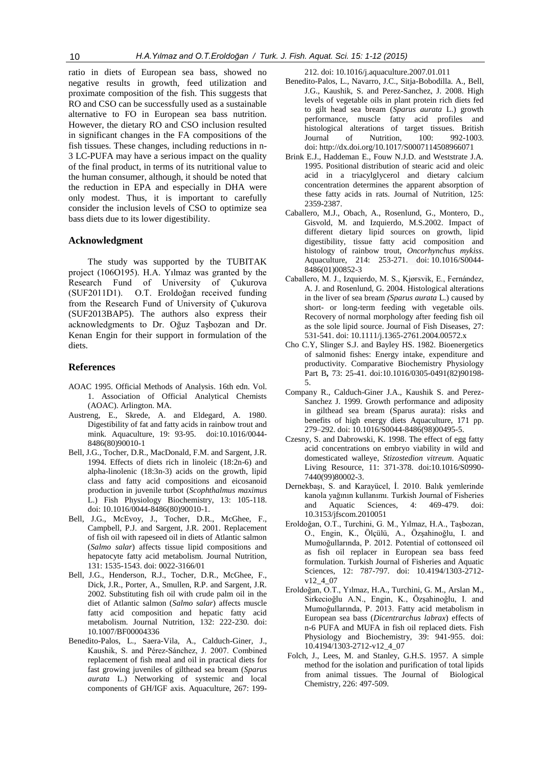ratio in diets of European sea bass, showed no negative results in growth, feed utilization and proximate composition of the fish. This suggests that RO and CSO can be successfully used as a sustainable alternative to FO in European sea bass nutrition. However, the dietary RO and CSO inclusion resulted in significant changes in the FA compositions of the fish tissues. These changes, including reductions in n-3 LC-PUFA may have a serious impact on the quality of the final product, in terms of its nutritional value to the human consumer, although, it should be noted that the reduction in EPA and especially in DHA were only modest. Thus, it is important to carefully consider the inclusion levels of CSO to optimize sea bass diets due to its lower digestibility.

# **Acknowledgment**

The study was supported by the TUBITAK project (106O195). H.A. Yılmaz was granted by the Research Fund of University of Çukurova (SUF2011D1). O.T. Eroldoğan received funding from the Research Fund of University of Çukurova (SUF2013BAP5). The authors also express their acknowledgments to Dr. Oğuz Taşbozan and Dr. Kenan Engin for their support in formulation of the diets.

## **References**

- AOAC 1995. Official Methods of Analysis. 16th edn. Vol. 1. Association of Official Analytical Chemists (AOAC). Arlington. MA.
- Austreng, E., Skrede, A. and Eldegard, A. 1980. Digestibility of fat and fatty acids in rainbow trout and mink*.* Aquaculture, 19: 93-95. [doi:10.1016/0044-](http://dx.doi.org/10.1016/0044-8486(80)90010-1) [8486\(80\)90010-1](http://dx.doi.org/10.1016/0044-8486(80)90010-1)
- Bell, J.G., Tocher, D.R., MacDonald, F.M. and Sargent, J.R. 1994. Effects of diets rich in linoleic (18:2n-6) and alpha-linolenic (18:3n-3) acids on the growth, lipid class and fatty acid compositions and eicosanoid production in juvenile turbot (*Scophthalmus maximus* L.) Fish Physiology Biochemistry, 13: 105-118. doi: 10.1016/0044-8486(80)90010-1.
- Bell, J.G., McEvoy, J., Tocher, D.R., McGhee, F., Campbell, P.J. and Sargent, J.R. 2001. Replacement of fish oil with rapeseed oil in diets of Atlantic salmon (*Salmo salar*) affects tissue lipid compositions and hepatocyte fatty acid metabolism. Journal Nutrition, 131: 1535-1543. doi: 0022-3166/01
- Bell, J.G., Henderson, R.J., Tocher, D.R., McGhee, F., Dick, J.R., Porter, A., Smullen, R.P. and Sargent, J.R. 2002. Substituting fish oil with crude palm oil in the diet of Atlantic salmon (*Salmo salar*) affects muscle fatty acid composition and hepatic fatty acid metabolism. Journal Nutrition, 132: 222-230. doi: 10.1007/BF00004336
- Benedito-Palos, L., Saera-Vila, A., Calduch-Giner, J., Kaushik, S. and Pérez-Sánchez, J. 2007. Combined replacement of fish meal and oil in practical diets for fast growing juveniles of gilthead sea bream (*Sparus aurata* L.) Networking of systemic and local components of GH/IGF axis. Aquaculture, 267: 199-

212. doi: 10.1016/j.aquaculture.2007.01.011

- Benedito-Palos, L., Navarro, J.C., Sitja-Bobodilla. A., Bell, J.G., Kaushik, S. and Perez-Sanchez, J. 2008. High levels of vegetable oils in plant protein rich diets fed to gilt head sea bream (*Sparus aurata* L.) growth performance, muscle fatty acid profiles and histological alterations of target tissues. British Journal of Nutrition, 100: 992-1003. doi: <http://dx.doi.org/10.1017/S0007114508966071>
- Brink E.J., Haddeman E., Fouw N.J.D. and Weststrate J.A. 1995. Positional distribution of stearic acid and oleic acid in a triacylglycerol and dietary calcium concentration determines the apparent absorption of these fatty acids in rats. Journal of Nutrition, 125: 2359-2387.
- Caballero, M.J., Obach, A., Rosenlund, G., Montero, D., Gisvold, M. and Izquierdo, M.S.2002. Impact of different dietary lipid sources on growth, lipid digestibility, tissue fatty acid composition and histology of rainbow trout, *Oncorhynchus mykiss*. Aquaculture, 214: 253-271. doi: 10.1016/S0044- 8486(01)00852-3
- Caballero, M. J., Izquierdo, M. S., Kjørsvik, E., Fernández, A. J. and Rosenlund, G. 2004. Histological alterations in the liver of sea bream *(Sparus aurata* L.) caused by short- or long-term feeding with vegetable oils. Recovery of normal morphology after feeding fish oil as the sole lipid source. Journal of Fish Diseases, 27: 531-541. doi: 10.1111/j.1365-2761.2004.00572.x
- Cho C.Y, Slinger S.J. and Bayley HS. 1982. Bioenergetics of salmonid fishes: Energy intake, expenditure and productivity. Comparative Biochemistry Physiology Part B**,** 73: 25-41. [doi:10.1016/0305-0491\(82\)90198-](http://dx.doi.org/10.1016/0305-0491(82)90198-5) [5.](http://dx.doi.org/10.1016/0305-0491(82)90198-5)
- Company R., Calduch-Giner J.A., Kaushik S. and Perez-Sanchez J. 1999. Growth performance and adiposity in gilthead sea bream (Sparus aurata): risks and benefits of high energy diets Aquaculture, 171 pp. 279–292. doi: 10.1016/S0044-8486(98)00495-5.
- Czesny, S. and Dabrowski, K. 1998. The effect of egg fatty acid concentrations on embryo viability in wild and domesticated walleye, *Stizostedion vitreum*. Aquatic Living Resource, 11: 371-378. doi:10.1016/S0990- 7440(99)80002-3.
- Dernekbaşı, S. and Karayücel, İ. 2010. Balık yemlerinde kanola yağının kullanımı. Turkish Journal of Fisheries and Aquatic Sciences, 4: 469-479. doi: 10.3153/jfscom.2010051
- Eroldoğan, O.T., Turchini, G. M., Yılmaz, H.A., Taşbozan, O., Engin, K., Ölçülü, A., Özşahinoğlu, I. and Mumoğullarında, P. 2012. Potential of cottonseed oil as fish oil replacer in European sea bass feed formulation. Turkish Journal of Fisheries and Aquatic Sciences, 12: 787-797. doi: 10.4194/1303-2712 v12\_4\_07
- Eroldoğan, O.T., Yılmaz, H.A., Turchini, G. M., Arslan M., Sirkecioğlu A.N., Engin, K., Özşahinoğlu, I. and Mumoğullarında, P. 2013. Fatty acid metabolism in European sea bass (*Dicentrarchus labrax*) effects of n-6 PUFA and MUFA in fish oil replaced diets. Fish Physiology and Biochemistry, 39: 941-955. doi: 10.4194/1303-2712-v12\_4\_07
- Folch, J., Lees, M. and Stanley, G.H.S. 1957. A simple method for the isolation and purification of total lipids from animal tissues. The Journal of Biological Chemistry, 226: 497-509.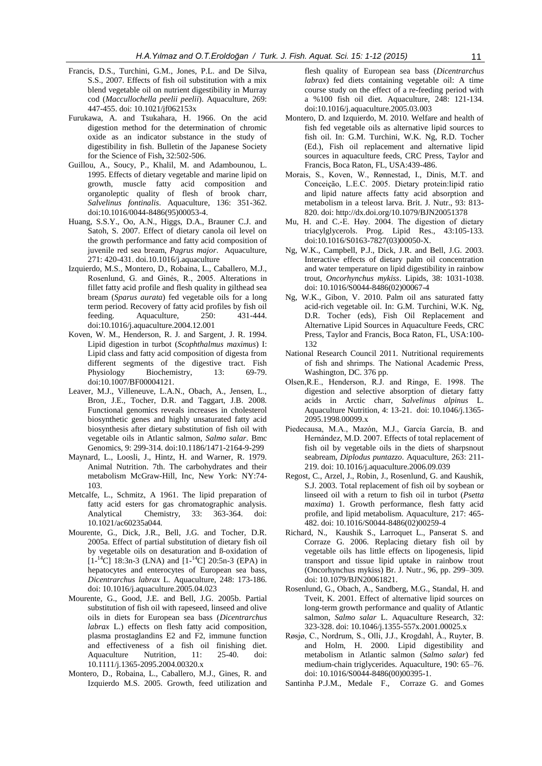- Francis, D.S., Turchini, G.M., Jones, P.L. and De Silva, S.S., 2007. Effects of fish oil substitution with a mix blend vegetable oil on nutrient digestibility in Murray cod (*Maccullochella peelii peelii*). Aquaculture, 269: 447-455. doi: 10.1021/jf062153x
- Furukawa, A. and Tsukahara, H. 1966. On the acid digestion method for the determination of chromic oxide as an indicator substance in the study of digestibility in fish. Bulletin of the Japanese Society for the Science of Fish**,** 32:502-506.
- Guillou, A., Soucy, P., Khalil, M. and Adambounou, L. 1995. Effects of dietary vegetable and marine lipid on growth, muscle fatty acid composition and organoleptic quality of flesh of brook charr, *Salvelinus fontinalis*. Aquaculture, 136: 351-362. [doi:10.1016/0044-8486\(95\)00053-4.](http://dx.doi.org/10.1016/0044-8486(95)00053-4)
- Huang, S.S.Y., Oo, A.N., Higgs, D.A., Brauner C.J. and Satoh, S. 2007. Effect of dietary canola oil level on the growth performance and fatty acid composition of juvenile red sea bream, *Pagrus major*. Aquaculture, 271: 420-431. doi.10.1016/j.aquaculture
- Izquierdo, M.S., Montero, D., Robaina, L., Caballero, M.J., Rosenlund, G. and Ginés, R., 2005. Alterations in fillet fatty acid profile and flesh quality in gilthead sea bream (*Sparus aurata*) fed vegetable oils for a long term period. Recovery of fatty acid profiles by fish oil feeding. Aquaculture, 250: 431-444. doi:10.1016/j.aquaculture.2004.12.001
- Koven, W. M., Henderson, R. J. and Sargent, J. R. 1994. Lipid digestion in turbot (*Scophthalmus maximus*) I: Lipid class and fatty acid composition of digesta from different segments of the digestive tract. Fish Physiology Biochemistry, 13: 69-79. doi:10.1007/BF00004121.
- Leaver, M.J., Villeneuve, L.A.N., Obach, A., Jensen, L., Bron, J.E., Tocher, D.R. and Taggart, J.B. 2008. Functional genomics reveals increases in cholesterol biosynthetic genes and highly unsaturated fatty acid biosynthesis after dietary substitution of fish oil with vegetable oils in Atlantic salmon, *Salmo salar*. Bmc Genomics, 9: 299-314. doi:10.1186/1471-2164-9-299
- Maynard, L., Loosli, J., Hintz, H. and Warner, R. 1979. Animal Nutrition. 7th. The carbohydrates and their metabolism McGraw-Hill, Inc, New York: NY:74- 103.
- Metcalfe, L., Schmitz, A 1961. The lipid preparation of fatty acid esters for gas chromatographic analysis. Analytical Chemistry, 33: 363-364. doi: 10.1021/ac60235a044.
- Mourente, G., Dick, J.R., Bell, J.G. and Tocher, D.R. 2005a. Effect of partial substitution of dietary fish oil by vegetable oils on desaturation and ß-oxidation of  $[1^{-14}C]$  18:3n-3 (LNA) and  $[1^{-14}C]$  20:5n-3 (EPA) in hepatocytes and enterocytes of European sea bass, *Dicentrarchus labrax* L. Aquaculture, 248: 173-186. doi: 10.1016/j.aquaculture.2005.04.023
- Mourente, G., Good, J.E. and Bell, J.G. 2005b. Partial substitution of fish oil with rapeseed, linseed and olive oils in diets for European sea bass (*Dicentrarchus labrax* L.) effects on flesh fatty acid composition, plasma prostaglandins E2 and F2, immune function and effectiveness of a fish oil finishing diet. Aquaculture Nutrition, 11: 25-40. doi: 10.1111/j.1365-2095.2004.00320.x
- Montero, D., Robaina, L., Caballero, M.J., Gines, R. and Izquierdo M.S. 2005. Growth, feed utilization and

flesh quality of European sea bass (*Dicentrarchus labrax*) fed diets containing vegetable oil: A time course study on the effect of a re-feeding period with a %100 fish oil diet*.* Aquaculture, 248: 121-134. doi:10.1016/j.aquaculture.2005.03.003

- Montero, D. and Izquierdo, M. 2010. Welfare and health of fish fed vegetable oils as alternative lipid sources to fish oil. In: G.M. Turchini, W.K. Ng, R.D. Tocher (Ed.), Fish oil replacement and alternative lipid sources in aquaculture feeds, CRC Press, Taylor and Francis, Boca Raton, FL, USA:439-486.
- Morais, S., Koven, W., Rønnestad, I., Dinis, M.T. and Conceição, L.E.C. 2005. Dietary protein:lipid ratio and lipid nature affects fatty acid absorption and metabolism in a teleost larva. Brit. J. Nutr., 93: 813- 820. doi: <http://dx.doi.org/10.1079/BJN20051378>
- Mu, H. and C.-E. Høy. 2004. The digestion of dietary triacylglycerols. Prog. Lipid Res., 43:105-133. [doi:10.1016/S0163-7827\(03\)00050-X.](http://dx.doi.org/10.1016/S0163-7827(03)00050-X)
- Ng, W.K., Campbell, P.J., Dick, J.R. and Bell, J.G. 2003. Interactive effects of dietary palm oil concentration and water temperature on lipid digestibility in rainbow trout, *Oncorhynchus mykiss*. Lipids, 38: 1031-1038. doi: 10.1016/S0044-8486(02)00067-4
- Ng, W.K., Gibon, V. 2010. Palm oil ans saturated fatty acid-rich vegetable oil. In: G.M. Turchini, W.K. Ng, D.R. Tocher (eds), Fish Oil Replacement and Alternative Lipid Sources in Aquaculture Feeds, CRC Press, Taylor and Francis, Boca Raton, FL, USA:100- 132
- National Research Council 2011. Nutritional requirements of fish and shrimps. The National Academic Press, Washington, DC. 376 pp.
- Olsen,R.E., Henderson, R.J. and Ringø, E. 1998. The digestion and selective absorption of dietary fatty acids in Arctic charr, *Salvelinus alpinus* L. Aquaculture Nutrition, 4: 13-21. doi: 10.1046/j.1365- 2095.1998.00099.x
- Piedecausa, M.A., Mazón, M.J., García García, B. and Hernández, M.D. 2007. Effects of total replacement of fish oil by vegetable oils in the diets of sharpsnout seabream, *Diplodus puntazzo*. Aquaculture, 263: 211- 219. doi: 10.1016/j.aquaculture.2006.09.039
- Regost, C., Arzel, J., Robin, J., Rosenlund, G. and Kaushik, S.J. 2003. Total replacement of fish oil by soybean or linseed oil with a return to fish oil in turbot (*Psetta maxima*) 1. Growth performance, flesh fatty acid profile, and lipid metabolism. Aquaculture, 217: 465- 482. doi: 10.1016/S0044-8486(02)00259-4
- Richard, N., Kaushik S., Larroquet L., Panserat S. and Corraze G. 2006. Replacing dietary fish oil by vegetable oils has little effects on lipogenesis, lipid transport and tissue lipid uptake in rainbow trout (Oncorhynchus mykiss) Br. J. Nutr., 96, pp. 299–309. doi: 10.1079/BJN20061821.
- Rosenlund, G., Obach, A., Sandberg, M.G., Standal, H. and Tveit, K. 2001. Effect of alternative lipid sources on long-term growth performance and quality of Atlantic salmon, *Salmo salar* L. Aquaculture Research, 32: 323-328. doi: 10.1046/j.1355-557x.2001.00025.x
- Røsjø, C., Nordrum, S., Olli, J.J., Krogdahl, Å., Ruyter, B. and Holm, H. 2000. Lipid digestibility and metabolism in Atlantic salmon (*Salmo salar*) fed medium-chain triglycerides. Aquaculture, 190: 65–76. doi: 10.1016/S0044-8486(00)00395-1.
- Santinha P.J.M., Medale F., Corraze G. and Gomes